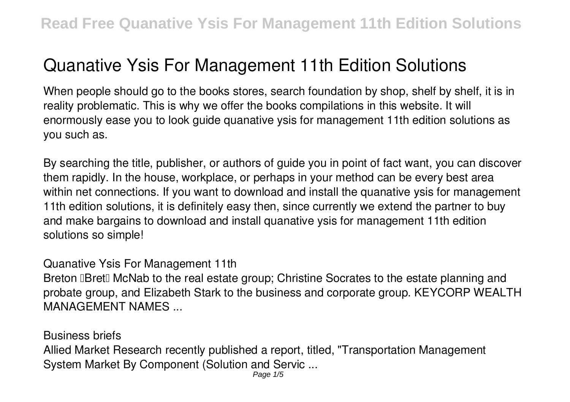## **Quanative Ysis For Management 11th Edition Solutions**

When people should go to the books stores, search foundation by shop, shelf by shelf, it is in reality problematic. This is why we offer the books compilations in this website. It will enormously ease you to look guide **quanative ysis for management 11th edition solutions** as you such as.

By searching the title, publisher, or authors of guide you in point of fact want, you can discover them rapidly. In the house, workplace, or perhaps in your method can be every best area within net connections. If you want to download and install the quanative ysis for management 11th edition solutions, it is definitely easy then, since currently we extend the partner to buy and make bargains to download and install quanative ysis for management 11th edition solutions so simple!

Quanative Ysis For Management 11th

Breton **IBret** McNab to the real estate group; Christine Socrates to the estate planning and probate group, and Elizabeth Stark to the business and corporate group. KEYCORP WEALTH MANAGEMENT NAMES ...

Business briefs Allied Market Research recently published a report, titled, "Transportation Management System Market By Component (Solution and Servic ...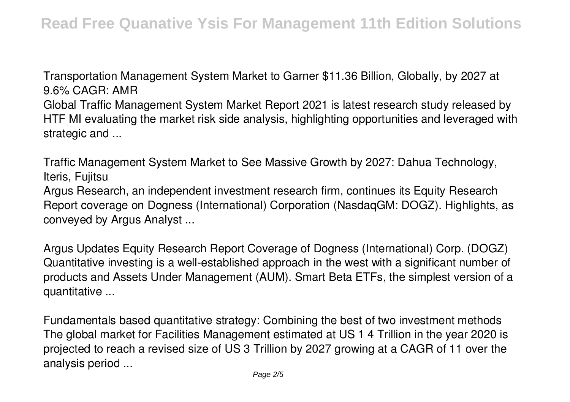Transportation Management System Market to Garner \$11.36 Billion, Globally, by 2027 at 9.6% CAGR: AMR Global Traffic Management System Market Report 2021 is latest research study released by HTF MI evaluating the market risk side analysis, highlighting opportunities and leveraged with strategic and ...

Traffic Management System Market to See Massive Growth by 2027: Dahua Technology, Iteris, Fujitsu

Argus Research, an independent investment research firm, continues its Equity Research Report coverage on Dogness (International) Corporation (NasdaqGM: DOGZ). Highlights, as conveyed by Argus Analyst ...

Argus Updates Equity Research Report Coverage of Dogness (International) Corp. (DOGZ) Quantitative investing is a well-established approach in the west with a significant number of products and Assets Under Management (AUM). Smart Beta ETFs, the simplest version of a quantitative ...

Fundamentals based quantitative strategy: Combining the best of two investment methods The global market for Facilities Management estimated at US 1 4 Trillion in the year 2020 is projected to reach a revised size of US 3 Trillion by 2027 growing at a CAGR of 11 over the analysis period ...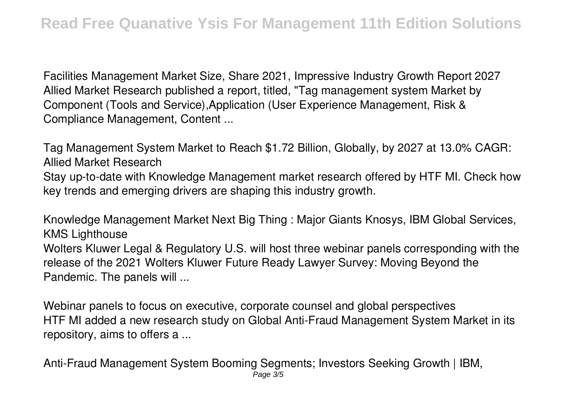Facilities Management Market Size, Share 2021, Impressive Industry Growth Report 2027 Allied Market Research published a report, titled, "Tag management system Market by Component (Tools and Service),Application (User Experience Management, Risk & Compliance Management, Content ...

Tag Management System Market to Reach \$1.72 Billion, Globally, by 2027 at 13.0% CAGR: Allied Market Research Stay up-to-date with Knowledge Management market research offered by HTF MI. Check how key trends and emerging drivers are shaping this industry growth.

Knowledge Management Market Next Big Thing : Major Giants Knosys, IBM Global Services, KMS Lighthouse Wolters Kluwer Legal & Regulatory U.S. will host three webinar panels corresponding with the release of the 2021 Wolters Kluwer Future Ready Lawyer Survey: Moving Beyond the Pandemic. The panels will ...

Webinar panels to focus on executive, corporate counsel and global perspectives HTF MI added a new research study on Global Anti-Fraud Management System Market in its repository, aims to offers a ...

Anti-Fraud Management System Booming Segments; Investors Seeking Growth | IBM, Page 3/5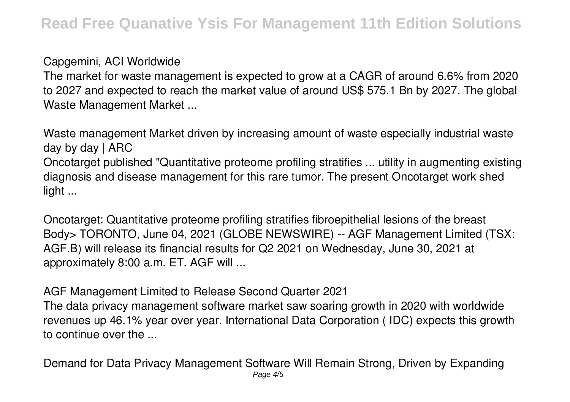## Capgemini, ACI Worldwide

The market for waste management is expected to grow at a CAGR of around 6.6% from 2020 to 2027 and expected to reach the market value of around US\$ 575.1 Bn by 2027. The global Waste Management Market ...

Waste management Market driven by increasing amount of waste especially industrial waste day by day  $\vert$  ARC Oncotarget published "Quantitative proteome profiling stratifies ... utility in augmenting existing diagnosis and disease management for this rare tumor. The present Oncotarget work shed light ...

Oncotarget: Quantitative proteome profiling stratifies fibroepithelial lesions of the breast Body> TORONTO, June 04, 2021 (GLOBE NEWSWIRE) -- AGF Management Limited (TSX: AGF.B) will release its financial results for Q2 2021 on Wednesday, June 30, 2021 at approximately 8:00 a.m. ET. AGF will ...

AGF Management Limited to Release Second Quarter 2021

The data privacy management software market saw soaring growth in 2020 with worldwide revenues up 46.1% year over year. International Data Corporation ( IDC) expects this growth to continue over the ...

Demand for Data Privacy Management Software Will Remain Strong, Driven by Expanding Page 4/5